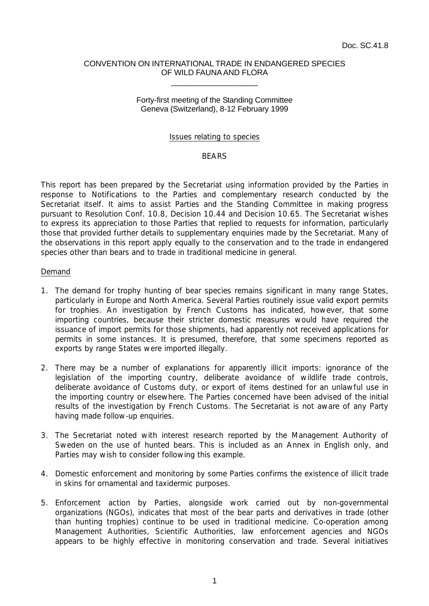### CONVENTION ON INTERNATIONAL TRADE IN ENDANGERED SPECIES OF WILD FAUNA AND FLORA \_\_\_\_\_\_\_\_\_\_\_\_\_\_\_\_\_\_\_\_

## Forty-first meeting of the Standing Committee Geneva (Switzerland), 8-12 February 1999

### Issues relating to species

## **RFARS**

This report has been prepared by the Secretariat using information provided by the Parties in response to Notifications to the Parties and complementary research conducted by the Secretariat itself. It aims to assist Parties and the Standing Committee in making progress pursuant to Resolution Conf. 10.8, Decision 10.44 and Decision 10.65. The Secretariat wishes to express its appreciation to those Parties that replied to requests for information, particularly those that provided further details to supplementary enquiries made by the Secretariat. Many of the observations in this report apply equally to the conservation and to the trade in endangered species other than bears and to trade in traditional medicine in general.

#### Demand

- 1. The demand for trophy hunting of bear species remains significant in many range States, particularly in Europe and North America. Several Parties routinely issue valid export permits for trophies. An investigation by French Customs has indicated, however, that some importing countries, because their stricter domestic measures would have required the issuance of import permits for those shipments, had apparently not received applications for permits in some instances. It is presumed, therefore, that some specimens reported as exports by range States were imported illegally.
- 2. There may be a number of explanations for apparently illicit imports: ignorance of the legislation of the importing country, deliberate avoidance of wildlife trade controls, deliberate avoidance of Customs duty, or export of items destined for an unlawful use in the importing country or elsewhere. The Parties concerned have been advised of the initial results of the investigation by French Customs. The Secretariat is not aware of any Party having made follow-up enquiries.
- 3. The Secretariat noted with interest research reported by the Management Authority of Sweden on the use of hunted bears. This is included as an Annex in English only, and Parties may wish to consider following this example.
- 4. Domestic enforcement and monitoring by some Parties confirms the existence of illicit trade in skins for ornamental and taxidermic purposes.
- 5. Enforcement action by Parties, alongside work carried out by non-governmental organizations (NGOs), indicates that most of the bear parts and derivatives in trade (other than hunting trophies) continue to be used in traditional medicine. Co-operation among Management Authorities, Scientific Authorities, law enforcement agencies and NGOs appears to be highly effective in monitoring conservation and trade. Several initiatives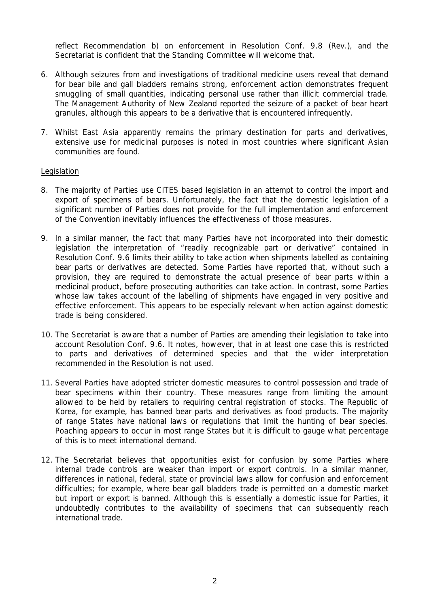reflect Recommendation b) on enforcement in Resolution Conf. 9.8 (Rev.), and the Secretariat is confident that the Standing Committee will welcome that.

- 6. Although seizures from and investigations of traditional medicine users reveal that demand for bear bile and gall bladders remains strong, enforcement action demonstrates frequent smuggling of small quantities, indicating personal use rather than illicit commercial trade. The Management Authority of New Zealand reported the seizure of a packet of bear heart granules, although this appears to be a derivative that is encountered infrequently.
- 7. Whilst East Asia apparently remains the primary destination for parts and derivatives, extensive use for medicinal purposes is noted in most countries where significant Asian communities are found.

## Legislation

- 8. The majority of Parties use CITES based legislation in an attempt to control the import and export of specimens of bears. Unfortunately, the fact that the domestic legislation of a significant number of Parties does not provide for the full implementation and enforcement of the Convention inevitably influences the effectiveness of those measures.
- 9. In a similar manner, the fact that many Parties have not incorporated into their domestic legislation the interpretation of "readily recognizable part or derivative" contained in Resolution Conf. 9.6 limits their ability to take action when shipments labelled as containing bear parts or derivatives are detected. Some Parties have reported that, without such a provision, they are required to demonstrate the actual presence of bear parts within a medicinal product, before prosecuting authorities can take action. In contrast, some Parties whose law takes account of the labelling of shipments have engaged in very positive and effective enforcement. This appears to be especially relevant when action against domestic trade is being considered.
- 10. The Secretariat is aware that a number of Parties are amending their legislation to take into account Resolution Conf. 9.6. It notes, however, that in at least one case this is restricted to parts and derivatives of determined species and that the wider interpretation recommended in the Resolution is not used.
- 11. Several Parties have adopted stricter domestic measures to control possession and trade of bear specimens within their country. These measures range from limiting the amount allowed to be held by retailers to requiring central registration of stocks. The Republic of Korea, for example, has banned bear parts and derivatives as food products. The majority of range States have national laws or regulations that limit the hunting of bear species. Poaching appears to occur in most range States but it is difficult to gauge what percentage of this is to meet international demand.
- 12. The Secretariat believes that opportunities exist for confusion by some Parties where internal trade controls are weaker than import or export controls. In a similar manner, differences in national, federal, state or provincial laws allow for confusion and enforcement difficulties; for example, where bear gall bladders trade is permitted on a domestic market but import or export is banned. Although this is essentially a domestic issue for Parties, it undoubtedly contributes to the availability of specimens that can subsequently reach international trade.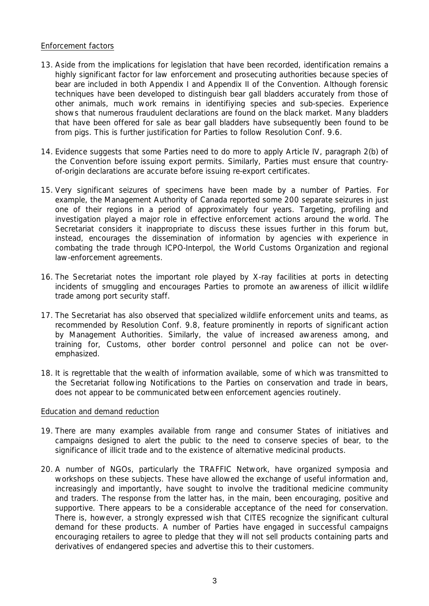# Enforcement factors

- 13. Aside from the implications for legislation that have been recorded, identification remains a highly significant factor for law enforcement and prosecuting authorities because species of bear are included in both Appendix I and Appendix II of the Convention. Although forensic techniques have been developed to distinguish bear gall bladders accurately from those of other animals, much work remains in identifiying species and sub-species. Experience shows that numerous fraudulent declarations are found on the black market. Many bladders that have been offered for sale as bear gall bladders have subsequently been found to be from pigs. This is further justification for Parties to follow Resolution Conf. 9.6.
- 14. Evidence suggests that some Parties need to do more to apply Article IV, paragraph 2(b) of the Convention before issuing export permits. Similarly, Parties must ensure that countryof-origin declarations are accurate before issuing re-export certificates.
- 15. Very significant seizures of specimens have been made by a number of Parties. For example, the Management Authority of Canada reported some 200 separate seizures in just one of their regions in a period of approximately four years. Targeting, profiling and investigation played a major role in effective enforcement actions around the world. The Secretariat considers it inappropriate to discuss these issues further in this forum but, instead, encourages the dissemination of information by agencies with experience in combating the trade through ICPO-Interpol, the World Customs Organization and regional law-enforcement agreements.
- 16. The Secretariat notes the important role played by X-ray facilities at ports in detecting incidents of smuggling and encourages Parties to promote an awareness of illicit wildlife trade among port security staff.
- 17. The Secretariat has also observed that specialized wildlife enforcement units and teams, as recommended by Resolution Conf. 9.8, feature prominently in reports of significant action by Management Authorities. Similarly, the value of increased awareness among, and training for, Customs, other border control personnel and police can not be overemphasized.
- 18. It is regrettable that the wealth of information available, some of which was transmitted to the Secretariat following Notifications to the Parties on conservation and trade in bears, does not appear to be communicated between enforcement agencies routinely.

## Education and demand reduction

- 19. There are many examples available from range and consumer States of initiatives and campaigns designed to alert the public to the need to conserve species of bear, to the significance of illicit trade and to the existence of alternative medicinal products.
- 20. A number of NGOs, particularly the TRAFFIC Network, have organized symposia and workshops on these subjects. These have allowed the exchange of useful information and, increasingly and importantly, have sought to involve the traditional medicine community and traders. The response from the latter has, in the main, been encouraging, positive and supportive. There appears to be a considerable acceptance of the need for conservation. There is, however, a strongly expressed wish that CITES recognize the significant cultural demand for these products. A number of Parties have engaged in successful campaigns encouraging retailers to agree to pledge that they will not sell products containing parts and derivatives of endangered species and advertise this to their customers.